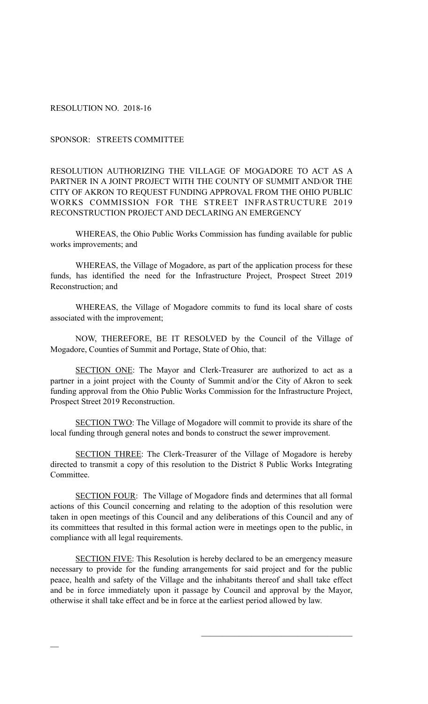RESOLUTION NO. 2018-16

 $\overline{\phantom{a}}$ 

SPONSOR: STREETS COMMITTEE

RESOLUTION AUTHORIZING THE VILLAGE OF MOGADORE TO ACT AS A PARTNER IN A JOINT PROJECT WITH THE COUNTY OF SUMMIT AND/OR THE CITY OF AKRON TO REQUEST FUNDING APPROVAL FROM THE OHIO PUBLIC WORKS COMMISSION FOR THE STREET INFRASTRUCTURE 2019 RECONSTRUCTION PROJECT AND DECLARING AN EMERGENCY

WHEREAS, the Ohio Public Works Commission has funding available for public works improvements; and

WHEREAS, the Village of Mogadore, as part of the application process for these funds, has identified the need for the Infrastructure Project, Prospect Street 2019 Reconstruction; and

WHEREAS, the Village of Mogadore commits to fund its local share of costs associated with the improvement;

NOW, THEREFORE, BE IT RESOLVED by the Council of the Village of Mogadore, Counties of Summit and Portage, State of Ohio, that:

SECTION ONE: The Mayor and Clerk-Treasurer are authorized to act as a partner in a joint project with the County of Summit and/or the City of Akron to seek funding approval from the Ohio Public Works Commission for the Infrastructure Project, Prospect Street 2019 Reconstruction.

SECTION TWO: The Village of Mogadore will commit to provide its share of the local funding through general notes and bonds to construct the sewer improvement.

SECTION THREE: The Clerk-Treasurer of the Village of Mogadore is hereby directed to transmit a copy of this resolution to the District 8 Public Works Integrating Committee.

SECTION FOUR: The Village of Mogadore finds and determines that all formal actions of this Council concerning and relating to the adoption of this resolution were taken in open meetings of this Council and any deliberations of this Council and any of its committees that resulted in this formal action were in meetings open to the public, in compliance with all legal requirements.

SECTION FIVE: This Resolution is hereby declared to be an emergency measure necessary to provide for the funding arrangements for said project and for the public peace, health and safety of the Village and the inhabitants thereof and shall take effect and be in force immediately upon it passage by Council and approval by the Mayor, otherwise it shall take effect and be in force at the earliest period allowed by law.

 $\mathcal{L}_\text{max}$  , and the set of the set of the set of the set of the set of the set of the set of the set of the set of the set of the set of the set of the set of the set of the set of the set of the set of the set of the